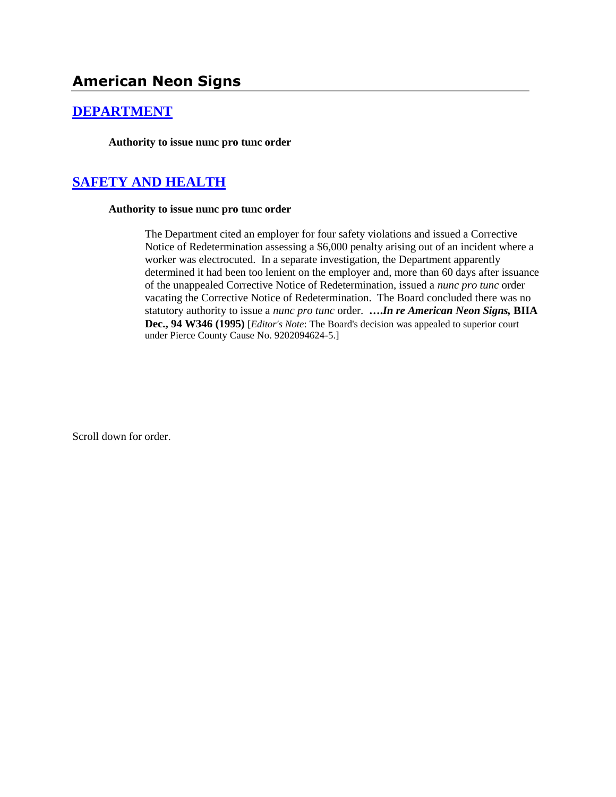## **[DEPARTMENT](http://www.biia.wa.gov/SDSubjectIndex.html#DEPARTMENT)**

**Authority to issue nunc pro tunc order**

# **[SAFETY AND HEALTH](http://www.biia.wa.gov/SDSubjectIndex.html#SAFETY_AND_HEALTH)**

#### **Authority to issue nunc pro tunc order**

The Department cited an employer for four safety violations and issued a Corrective Notice of Redetermination assessing a \$6,000 penalty arising out of an incident where a worker was electrocuted. In a separate investigation, the Department apparently determined it had been too lenient on the employer and, more than 60 days after issuance of the unappealed Corrective Notice of Redetermination, issued a *nunc pro tunc* order vacating the Corrective Notice of Redetermination. The Board concluded there was no statutory authority to issue a *nunc pro tunc* order. **….***In re American Neon Signs,* **BIIA Dec., 94 W346 (1995)** [*Editor's Note*: The Board's decision was appealed to superior court under Pierce County Cause No. 9202094624-5.]

Scroll down for order.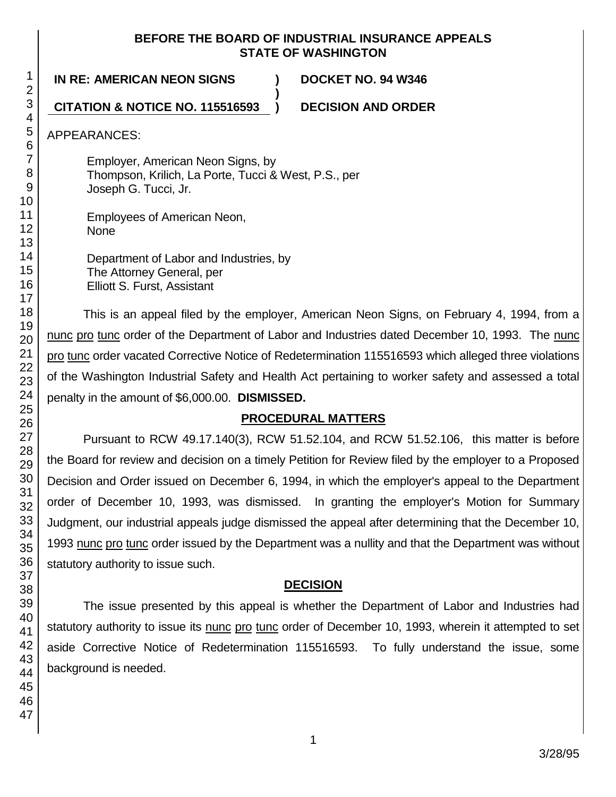#### **BEFORE THE BOARD OF INDUSTRIAL INSURANCE APPEALS STATE OF WASHINGTON**

**)**

**IN RE: AMERICAN NEON SIGNS ) DOCKET NO. 94 W346**

**CITATION & NOTICE NO. 115516593 ) DECISION AND ORDER**

APPEARANCES:

Employer, American Neon Signs, by Thompson, Krilich, La Porte, Tucci & West, P.S., per Joseph G. Tucci, Jr.

Employees of American Neon, None

Department of Labor and Industries, by The Attorney General, per Elliott S. Furst, Assistant

This is an appeal filed by the employer, American Neon Signs, on February 4, 1994, from a nunc pro tunc order of the Department of Labor and Industries dated December 10, 1993. The nunc pro tunc order vacated Corrective Notice of Redetermination 115516593 which alleged three violations of the Washington Industrial Safety and Health Act pertaining to worker safety and assessed a total penalty in the amount of \$6,000.00. **DISMISSED.**

## **PROCEDURAL MATTERS**

Pursuant to RCW 49.17.140(3), RCW 51.52.104, and RCW 51.52.106, this matter is before the Board for review and decision on a timely Petition for Review filed by the employer to a Proposed Decision and Order issued on December 6, 1994, in which the employer's appeal to the Department order of December 10, 1993, was dismissed. In granting the employer's Motion for Summary Judgment, our industrial appeals judge dismissed the appeal after determining that the December 10, 1993 nunc pro tunc order issued by the Department was a nullity and that the Department was without statutory authority to issue such.

## **DECISION**

The issue presented by this appeal is whether the Department of Labor and Industries had statutory authority to issue its nunc pro tunc order of December 10, 1993, wherein it attempted to set aside Corrective Notice of Redetermination 115516593. To fully understand the issue, some background is needed.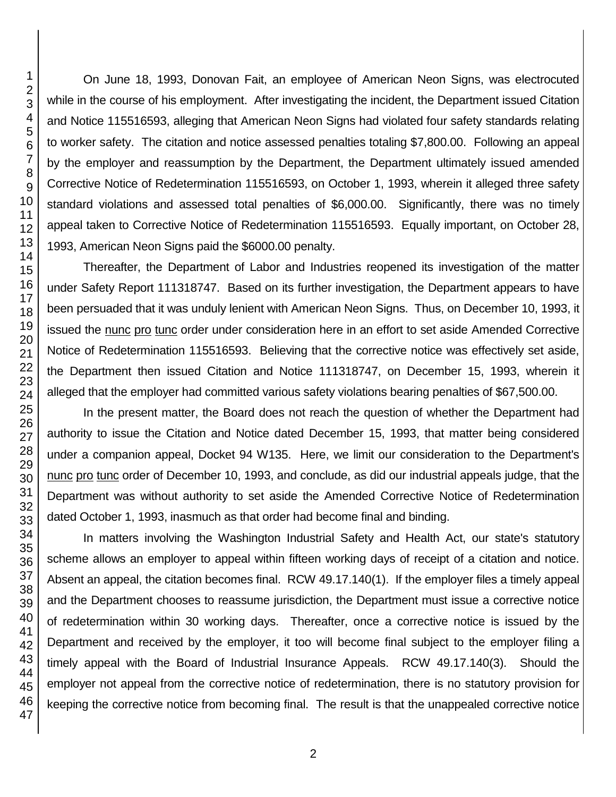On June 18, 1993, Donovan Fait, an employee of American Neon Signs, was electrocuted while in the course of his employment. After investigating the incident, the Department issued Citation and Notice 115516593, alleging that American Neon Signs had violated four safety standards relating to worker safety. The citation and notice assessed penalties totaling \$7,800.00. Following an appeal by the employer and reassumption by the Department, the Department ultimately issued amended Corrective Notice of Redetermination 115516593, on October 1, 1993, wherein it alleged three safety standard violations and assessed total penalties of \$6,000.00. Significantly, there was no timely appeal taken to Corrective Notice of Redetermination 115516593. Equally important, on October 28, 1993, American Neon Signs paid the \$6000.00 penalty.

Thereafter, the Department of Labor and Industries reopened its investigation of the matter under Safety Report 111318747. Based on its further investigation, the Department appears to have been persuaded that it was unduly lenient with American Neon Signs. Thus, on December 10, 1993, it issued the nunc pro tunc order under consideration here in an effort to set aside Amended Corrective Notice of Redetermination 115516593. Believing that the corrective notice was effectively set aside, the Department then issued Citation and Notice 111318747, on December 15, 1993, wherein it alleged that the employer had committed various safety violations bearing penalties of \$67,500.00.

In the present matter, the Board does not reach the question of whether the Department had authority to issue the Citation and Notice dated December 15, 1993, that matter being considered under a companion appeal, Docket 94 W135. Here, we limit our consideration to the Department's nunc pro tunc order of December 10, 1993, and conclude, as did our industrial appeals judge, that the Department was without authority to set aside the Amended Corrective Notice of Redetermination dated October 1, 1993, inasmuch as that order had become final and binding.

In matters involving the Washington Industrial Safety and Health Act, our state's statutory scheme allows an employer to appeal within fifteen working days of receipt of a citation and notice. Absent an appeal, the citation becomes final. RCW 49.17.140(1). If the employer files a timely appeal and the Department chooses to reassume jurisdiction, the Department must issue a corrective notice of redetermination within 30 working days. Thereafter, once a corrective notice is issued by the Department and received by the employer, it too will become final subject to the employer filing a timely appeal with the Board of Industrial Insurance Appeals. RCW 49.17.140(3). Should the employer not appeal from the corrective notice of redetermination, there is no statutory provision for keeping the corrective notice from becoming final. The result is that the unappealed corrective notice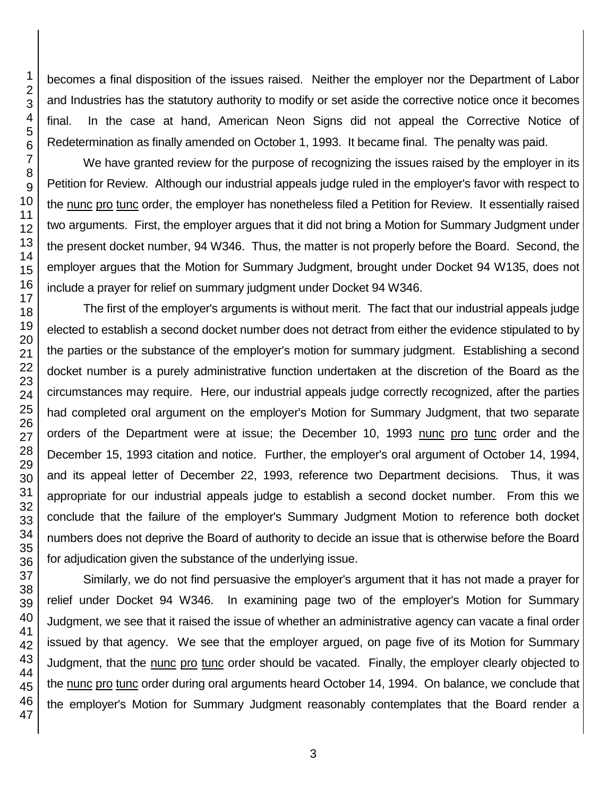becomes a final disposition of the issues raised. Neither the employer nor the Department of Labor and Industries has the statutory authority to modify or set aside the corrective notice once it becomes final. In the case at hand, American Neon Signs did not appeal the Corrective Notice of Redetermination as finally amended on October 1, 1993. It became final. The penalty was paid.

We have granted review for the purpose of recognizing the issues raised by the employer in its Petition for Review. Although our industrial appeals judge ruled in the employer's favor with respect to the nunc pro tunc order, the employer has nonetheless filed a Petition for Review. It essentially raised two arguments. First, the employer argues that it did not bring a Motion for Summary Judgment under the present docket number, 94 W346. Thus, the matter is not properly before the Board. Second, the employer argues that the Motion for Summary Judgment, brought under Docket 94 W135, does not include a prayer for relief on summary judgment under Docket 94 W346.

The first of the employer's arguments is without merit. The fact that our industrial appeals judge elected to establish a second docket number does not detract from either the evidence stipulated to by the parties or the substance of the employer's motion for summary judgment. Establishing a second docket number is a purely administrative function undertaken at the discretion of the Board as the circumstances may require. Here, our industrial appeals judge correctly recognized, after the parties had completed oral argument on the employer's Motion for Summary Judgment, that two separate orders of the Department were at issue; the December 10, 1993 nunc pro tunc order and the December 15, 1993 citation and notice. Further, the employer's oral argument of October 14, 1994, and its appeal letter of December 22, 1993, reference two Department decisions. Thus, it was appropriate for our industrial appeals judge to establish a second docket number. From this we conclude that the failure of the employer's Summary Judgment Motion to reference both docket numbers does not deprive the Board of authority to decide an issue that is otherwise before the Board for adjudication given the substance of the underlying issue.

Similarly, we do not find persuasive the employer's argument that it has not made a prayer for relief under Docket 94 W346. In examining page two of the employer's Motion for Summary Judgment, we see that it raised the issue of whether an administrative agency can vacate a final order issued by that agency. We see that the employer argued, on page five of its Motion for Summary Judgment, that the nunc pro tunc order should be vacated. Finally, the employer clearly objected to the nunc pro tunc order during oral arguments heard October 14, 1994. On balance, we conclude that the employer's Motion for Summary Judgment reasonably contemplates that the Board render a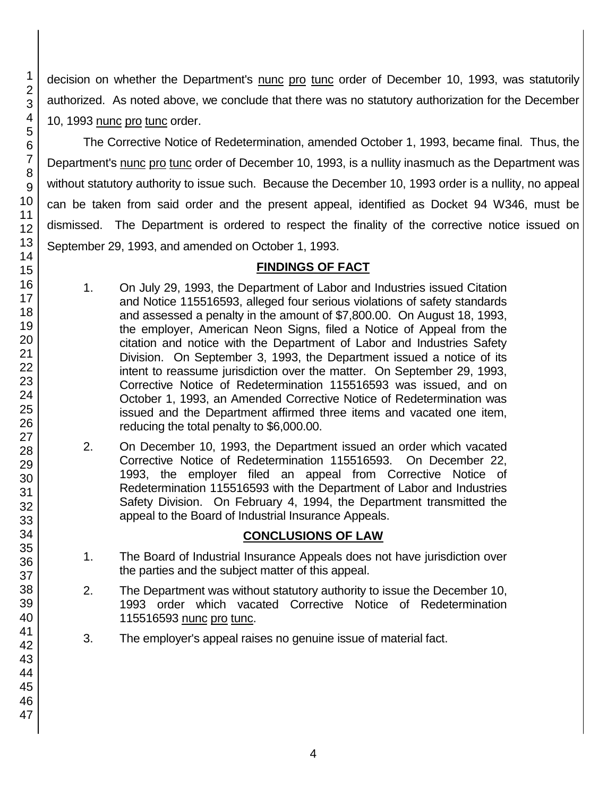decision on whether the Department's nunc pro tunc order of December 10, 1993, was statutorily authorized. As noted above, we conclude that there was no statutory authorization for the December 10, 1993 nunc pro tunc order.

The Corrective Notice of Redetermination, amended October 1, 1993, became final. Thus, the Department's nunc pro tunc order of December 10, 1993, is a nullity inasmuch as the Department was without statutory authority to issue such. Because the December 10, 1993 order is a nullity, no appeal can be taken from said order and the present appeal, identified as Docket 94 W346, must be dismissed. The Department is ordered to respect the finality of the corrective notice issued on September 29, 1993, and amended on October 1, 1993.

## **FINDINGS OF FACT**

- 1. On July 29, 1993, the Department of Labor and Industries issued Citation and Notice 115516593, alleged four serious violations of safety standards and assessed a penalty in the amount of \$7,800.00. On August 18, 1993, the employer, American Neon Signs, filed a Notice of Appeal from the citation and notice with the Department of Labor and Industries Safety Division. On September 3, 1993, the Department issued a notice of its intent to reassume jurisdiction over the matter. On September 29, 1993, Corrective Notice of Redetermination 115516593 was issued, and on October 1, 1993, an Amended Corrective Notice of Redetermination was issued and the Department affirmed three items and vacated one item, reducing the total penalty to \$6,000.00.
- 2. On December 10, 1993, the Department issued an order which vacated Corrective Notice of Redetermination 115516593. On December 22, 1993, the employer filed an appeal from Corrective Notice of Redetermination 115516593 with the Department of Labor and Industries Safety Division. On February 4, 1994, the Department transmitted the appeal to the Board of Industrial Insurance Appeals.

## **CONCLUSIONS OF LAW**

- 1. The Board of Industrial Insurance Appeals does not have jurisdiction over the parties and the subject matter of this appeal.
- 2. The Department was without statutory authority to issue the December 10, 1993 order which vacated Corrective Notice of Redetermination 115516593 nunc pro tunc.
- 3. The employer's appeal raises no genuine issue of material fact.

1